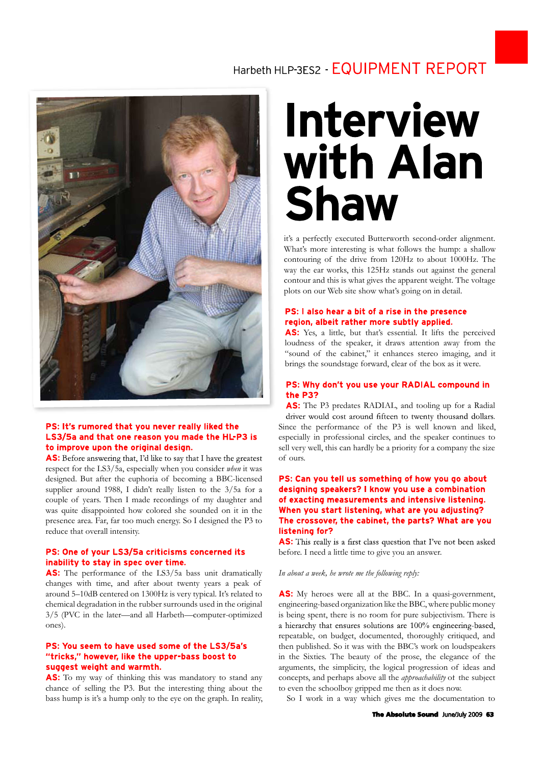## Harbeth HI P-3FS2 - EQUIPMENT REPORT



respect for the LS3/5a, especially when you consider *when* it was **PS: It's rumored that you never really liked the**<br> **LS3/5a and that one reason you made the HL-P3 is**<br> **to improve upon the original design.**<br> **to improve upon the original design.**<br> **AS:** Before answering that, I'd like supplier around 1988, I didn't really listen to the 3/5a for a couple of years. Then I made recordings of my daughter and<br>was quite disappointed how colored she sounded on it in the<br>presence area. Far, far too much energy. So I designed the P3 to<br>**The crossover, the cabinet, the parts** was quite disappointed how colored she sounded on it in the presence area. Far, far too much energy. So I designed the P3 to **The crossover reduce that overall intensity. Instening for?** reduce that overall intensity.

**AS:** This really<br> **Comparison COMEX COMEX CONCITED:** This really<br> **Comparison of the LS3/5a bass unit dramatically**<br> **Comparison COMEX COMEX COMEX COMEX COMEX CONCITED:**<br> **AS:** The performance of the LS3/5a bass unit dram around 5–10dB centered on 1300Hz is very typical. It's related to chemical degradation in the rubber surrounds used in the original 3/5 (PVC in the later—and all Harbeth—computer-optimized ones).

# **To my seem to have used some of the LS3/5a's**<br> **CKS," however, like the upper-bass boost to**<br> **GRS weight and warmth.**<br>
To my way of thinking this was mandatory to stand any<br>
acce of selling the P3. But the interesting t

**PS: You seem to have used some of the LS3/5a's**<br> **"tricks," however, like the upper-bass boost to**<br> **suggest weight and warmth.**<br> **AS:** To my way of thinking this was mandatory to stand any<br>
chance of selling the P3. But bass hump is it's a hump only to the eye on the graph. In reality,

## **Interview** with Alan

it's a perfectly executed Butterworth second-order alignment. What's more interesting is what follows the hump: a shallow it's a perfectly executed Butterworth second-order alignment.<br>What's more interesting is what follows the hump: a shallow<br>contouring of the drive from 120Hz to about 1000Hz. The<br>way the ear works, this 125Hz stands out aga way the ear works, this 125Hz stands out against the general contour and this is what gives the apparent weight. The voltage plots on our Web site show what's going on in detail.

Yes, a little, but that's essential. It lifts the perceived **PS: l also hear a bit of a rise in the presence region, albeit rather more subtly applied.<br><b>AS:** Yes, a little, but that's essential. It lifts the perceived loudness of the speaker, it draws attention away from the "so **PS: l also hear a bit of a rise in the presence**<br>**region, albeit rather more subtly applied.**<br>**AS:** Yes, a little, but that's essential. It lifts the perceived<br>loudness of the speaker, it draws attention away from the<br>" **Region, albeit rather more subtly applied.**<br> **AS:** Yes, a little, but that's essential. It lifts the perceived loudness of the speaker, it draws attention away from the "sound of the cabinet," it enhances stereo imaging,

 The P3 predates RADIAL, and tooling-up for a Radial **PS: Why don't you use your RADIAL compound in**<br>the **P3?**<br>**AS:** The P3 predates RADIAL, and tooling-up for a Radial<br>driver would cost around fifteen to twenty thousand dollars.<br>Since the performance of the P3 is well known especially in professional circles, and the speaker continues to sell very well, this can hardly be a priority for a company the size driver would cost around fifteen to twenty thousand dollars.<br>Since the performance of the P3 is well known and liked,

**AS:** This really is a first class question that I've not been asked<br> **PS:** One of your LS3/5a criticisms concerned its<br> **AS:** The performance of the LS3/5a bass unit dramatically<br>
changes with time, and after about twenty before. I need a little time to give you an answer.

### *In about a week, he wrote me the following reply:*

AS: My heroes were all at the BBC. In a quasi-government, engineering-based organization like the BBC, where public money is being spent, there is no room for pure subjectivism. There is repeatable, on budget, documented, thoroughly critiqued, and then published. So it was with the BBC's work on loudspeakers is being spent, there is no room for pure subjectivism. There is<br>a hierarchy that ensures solutions are 100% engineering-based,<br>repeatable, on budget, documented, thoroughly critiqued, and<br>then published. So it was with th a hierarchy that ensures solutions are  $100\%$  engineering-based, repeatable, on budget, documented, thoroughly critiqued, and then published. So it was with the BBC's work on loudspeakers in the Sixties. The beauty of th repeatable, on budget, documented, thoroughly critiqued, and<br>then published. So it was with the BBC's work on loudspeakers<br>in the Sixties. The beauty of the prose, the elegance of the<br>arguments, the simplicity, the logical to even the schoolboy gripped me then as it does now.

So I work in a way which gives me the documentation to